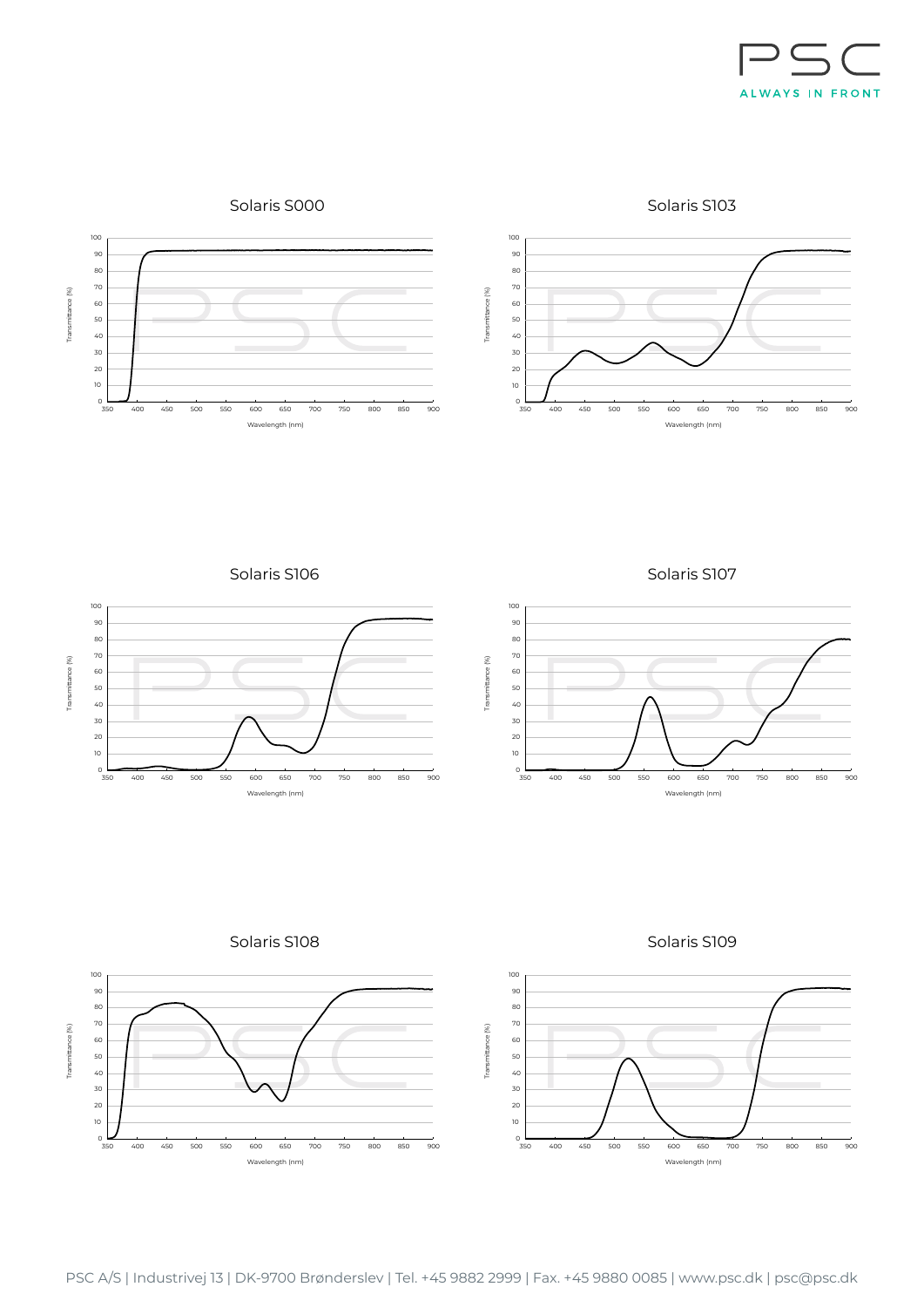

Solaris S103



Solaris S106



Solaris S107



Solaris S108



Solaris S109

Wavelength (nm)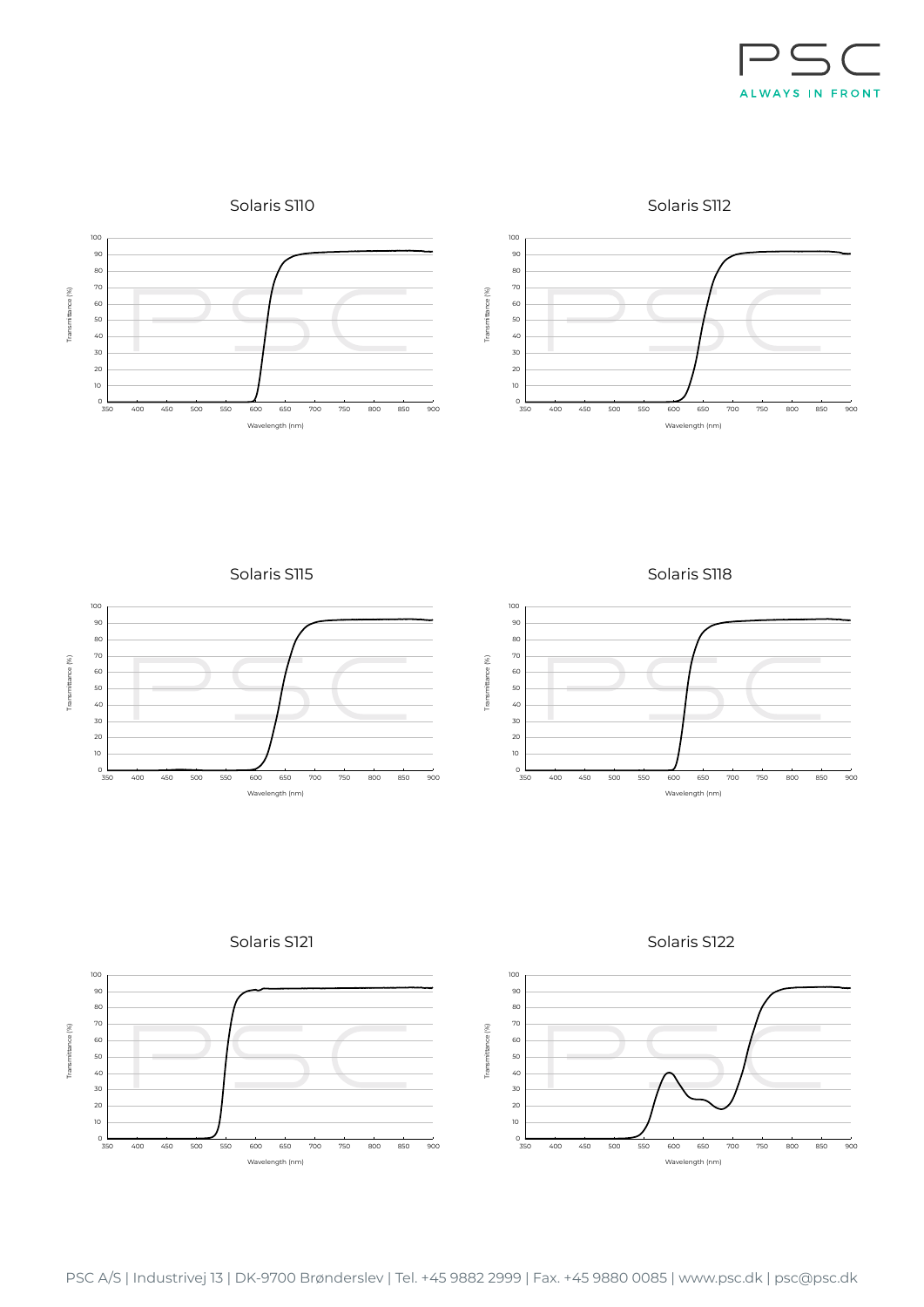

Solaris S112



Solaris S115



Solaris S118





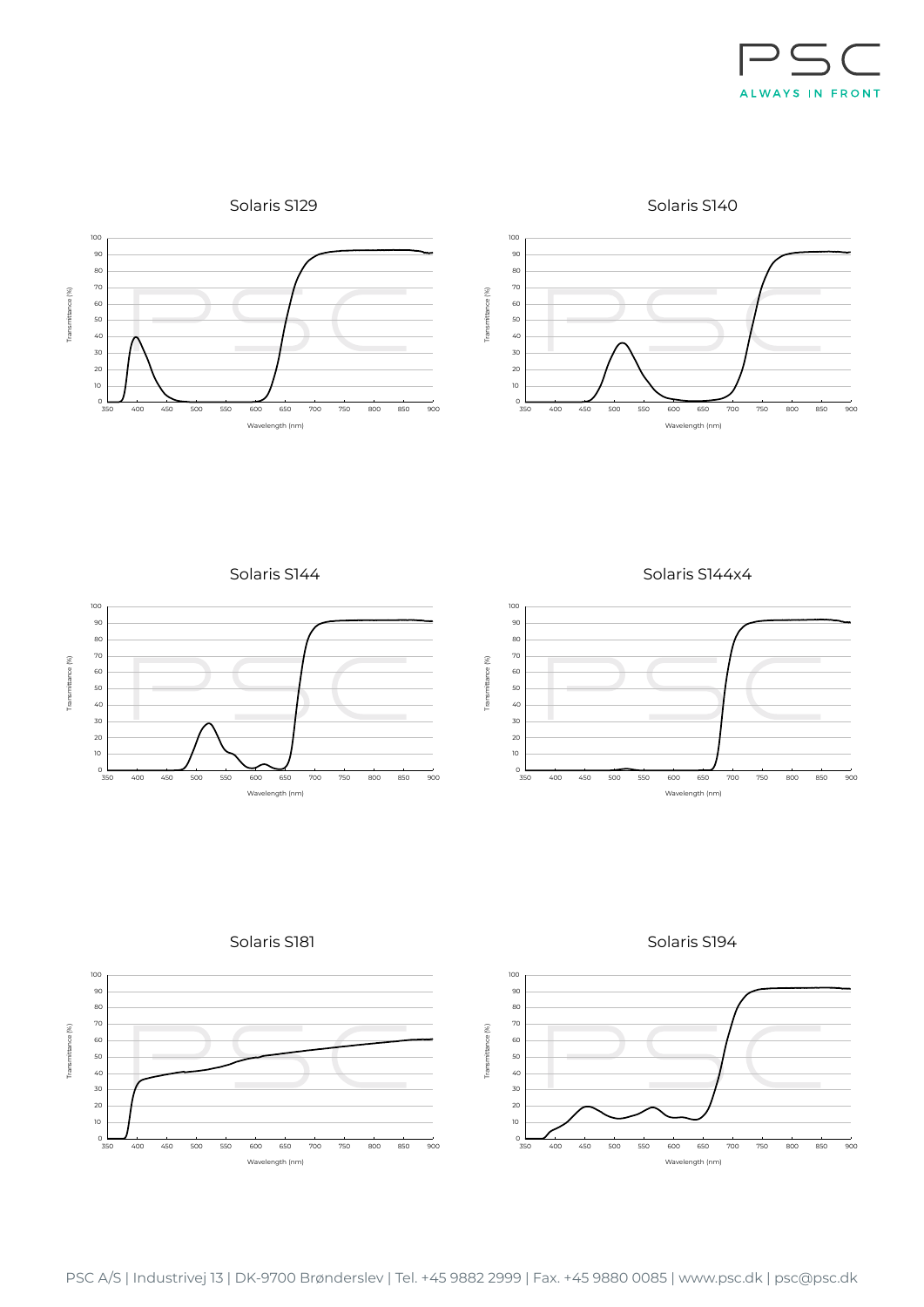

Solaris S129

Solaris S140





Solaris S144



Solaris S144x4



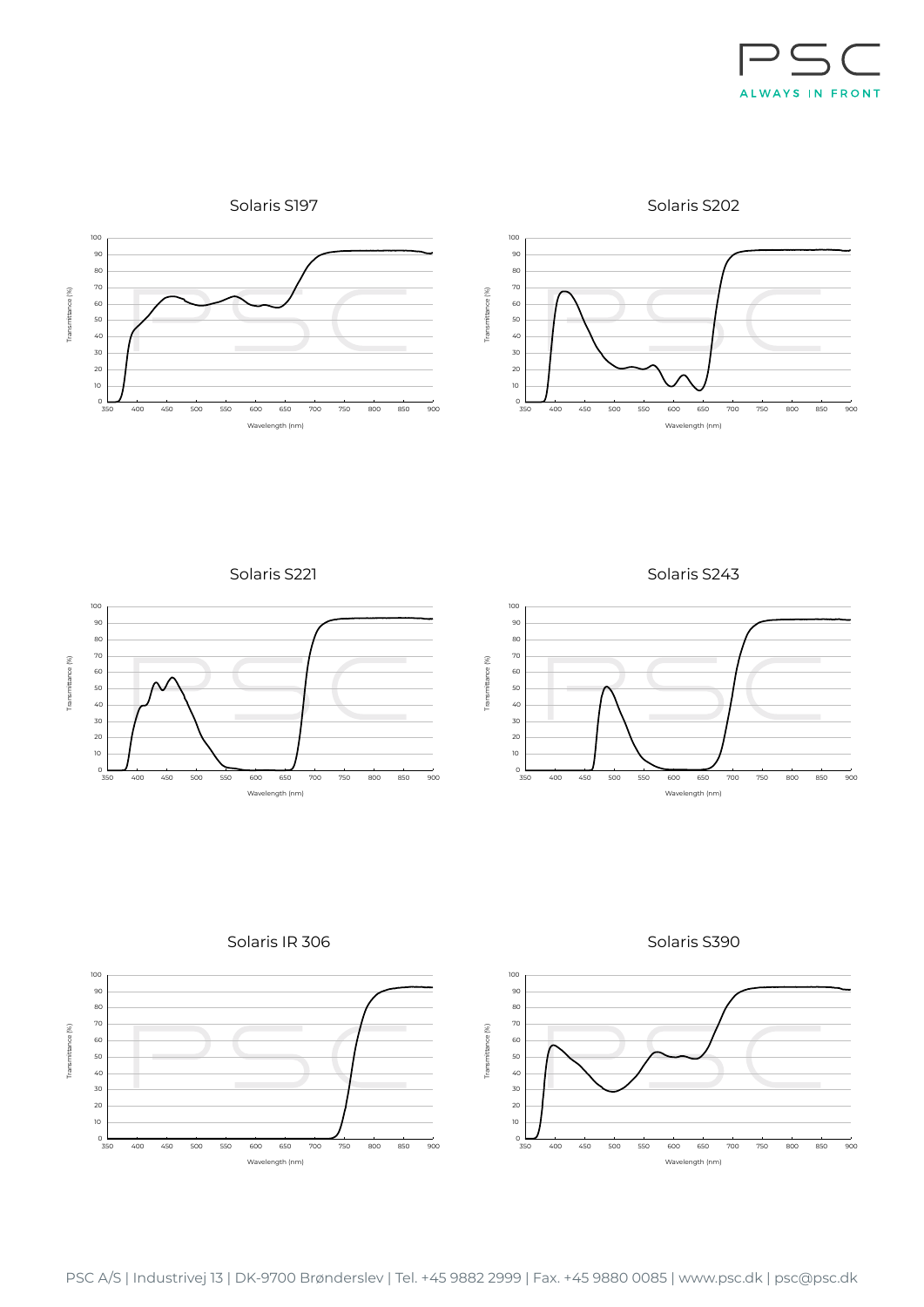

Solaris S197

Solaris S202



Solaris S221



Solaris S243







Solaris S390

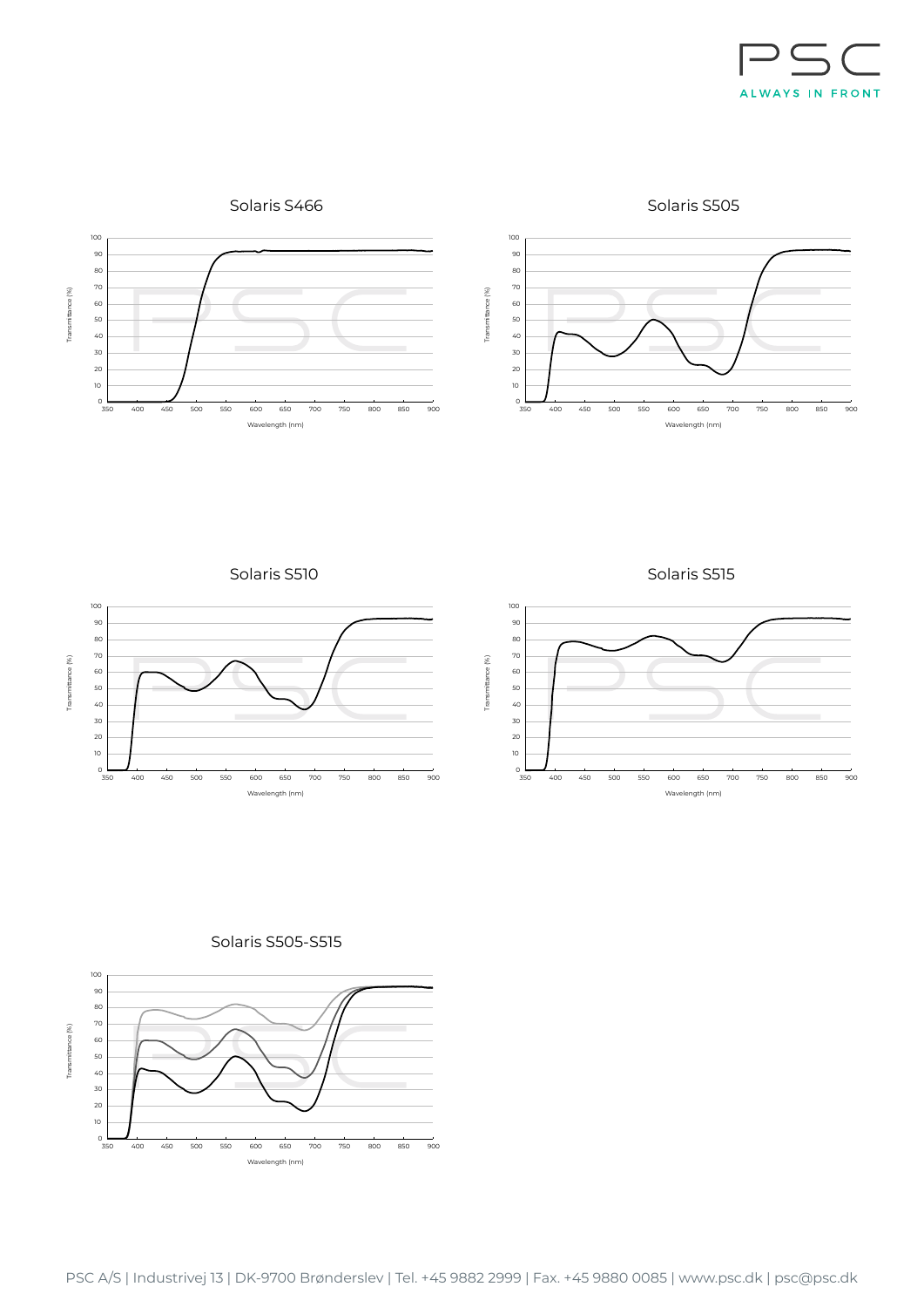

Solaris S505



Solaris S510







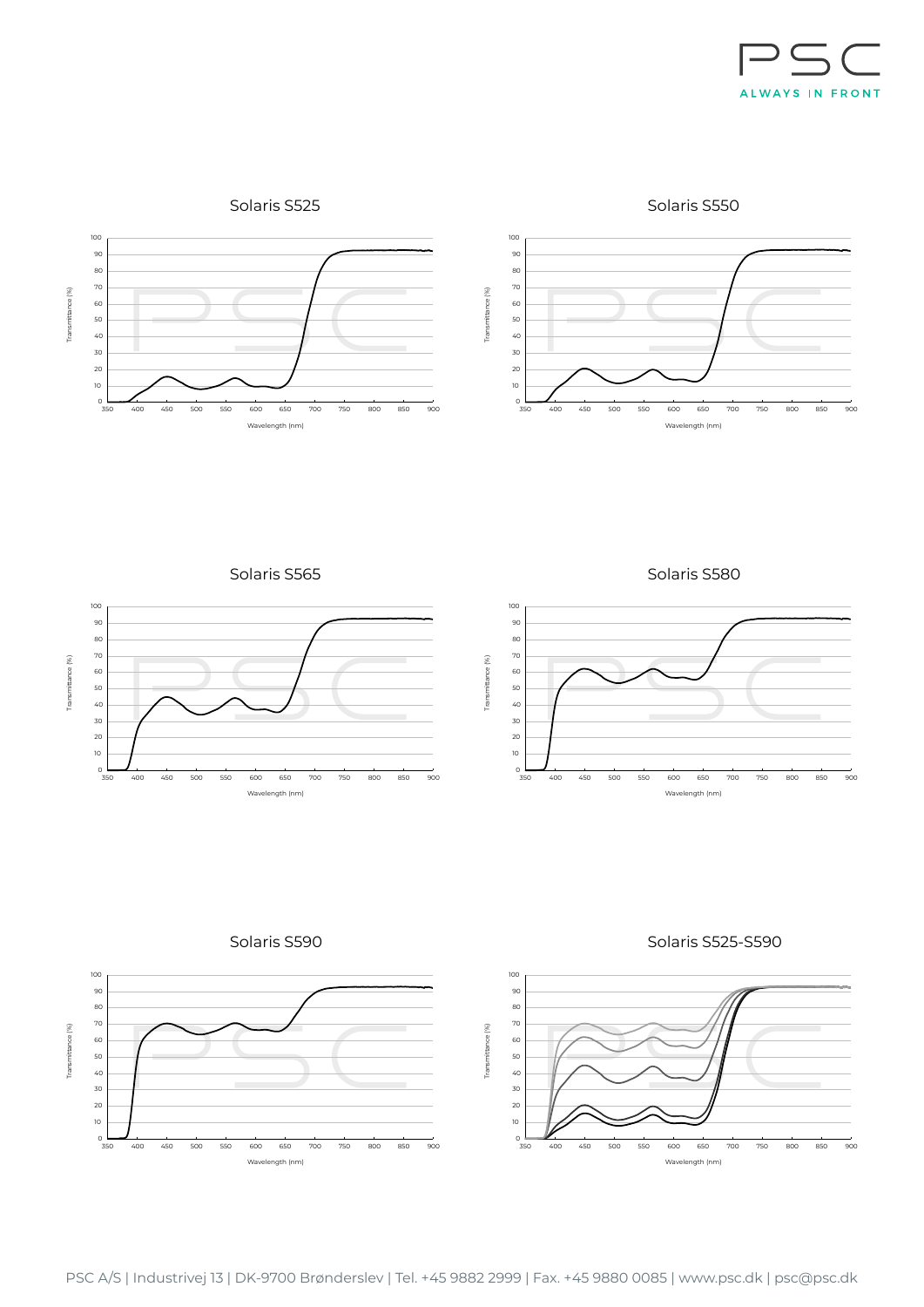

Solaris S550



Solaris S565









Solaris S525-S590

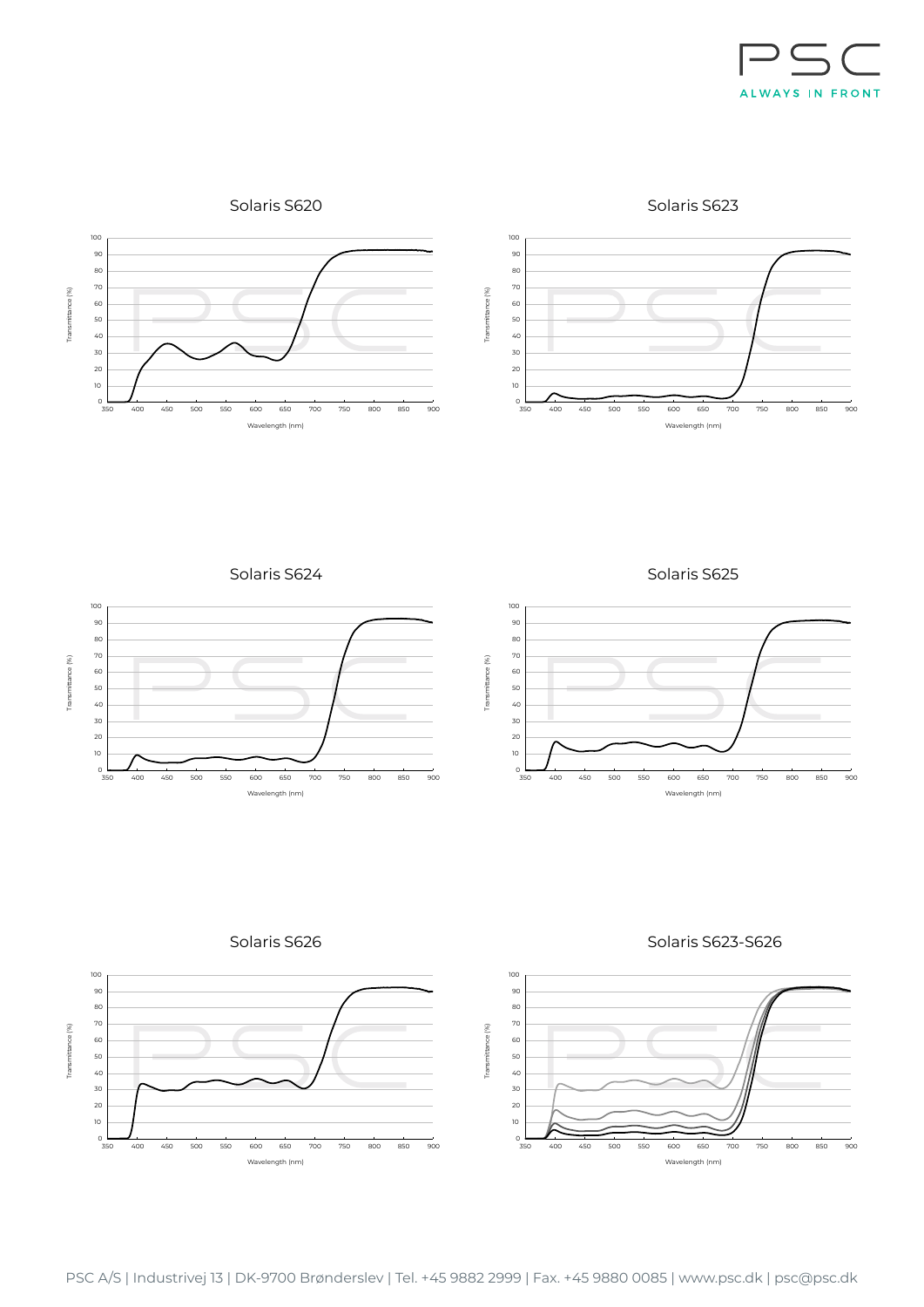

Solaris S623





Solaris S624









Wavel

400 450 500

Transmittance (%)

Transmittance (%)





Transmittance (%)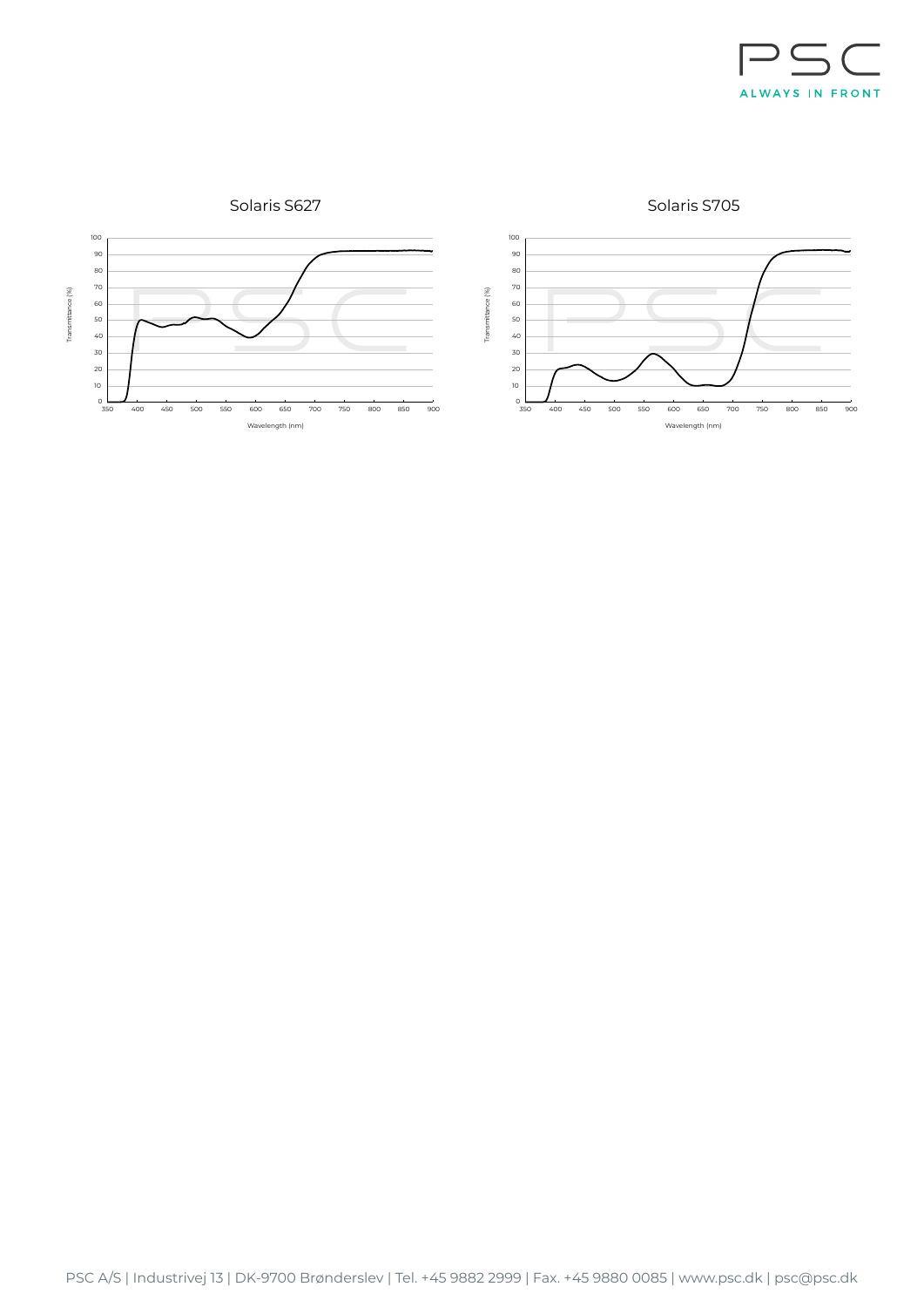

Solaris S705